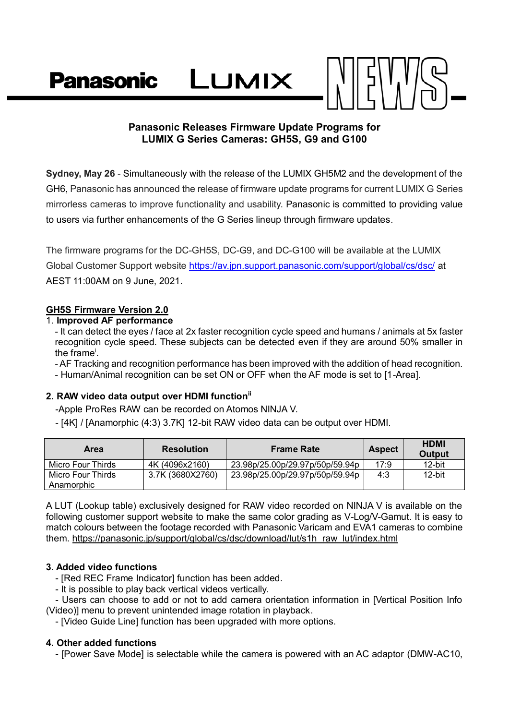LUMIX **Panasonic** 

# **Panasonic Releases Firmware Update Programs for LUMIX G Series Cameras: GH5S, G9 and G100**

**Sydney, May 26** - Simultaneously with the release of the LUMIX GH5M2 and the development of the GH6, Panasonic has announced the release of firmware update programs for current LUMIX G Series mirrorless cameras to improve functionality and usability. Panasonic is committed to providing value to users via further enhancements of the G Series lineup through firmware updates.

The firmware programs for the DC-GH5S, DC-G9, and DC-G100 will be available at the LUMIX Global Customer Support website<https://av.jpn.support.panasonic.com/support/global/cs/dsc/> at AEST 11:00AM on 9 June, 2021.

## **GH5S Firmware Version 2.0**

#### 1. **Improved AF performance**

- It can detect the eyes / face at 2x faster recognition cycle speed and humans / animals at 5x faster recognition cycle speed. These subjects can be detected even if they are around 50% smaller in the frame<sup>i</sup>.

- AF Tracking and recognition performance has been improved with the addition of head recognition.

- Human/Animal recognition can be set ON or OFF when the AF mode is set to [1-Area].

# **2. RAW video data output over HDMI functionii**

-Apple ProRes RAW can be recorded on Atomos NINJA V.

- [4K] / [Anamorphic (4:3) 3.7K] 12-bit RAW video data can be output over HDMI.

| Area                            | <b>Resolution</b> | <b>Frame Rate</b>               | <b>Aspect</b> | <b>HDMI</b><br>Output |
|---------------------------------|-------------------|---------------------------------|---------------|-----------------------|
| Micro Four Thirds               | 4K (4096x2160)    | 23.98p/25.00p/29.97p/50p/59.94p | 17:9          | 12-bit                |
| Micro Four Thirds<br>Anamorphic | 3.7K (3680X2760)  | 23.98p/25.00p/29.97p/50p/59.94p | 4:3           | 12-bit                |

A LUT (Lookup table) exclusively designed for RAW video recorded on NINJA V is available on the following customer support website to make the same color grading as V-Log/V-Gamut. It is easy to match colours between the footage recorded with Panasonic Varicam and EVA1 cameras to combine them. [https://panasonic.jp/support/global/cs/dsc/download/lut/s1h\\_raw\\_lut/index.html](https://panasonic.jp/support/global/cs/dsc/download/lut/s1h_raw_lut/index.html)

## **3. Added video functions**

- [Red REC Frame Indicator] function has been added.
- It is possible to play back vertical videos vertically.

- Users can choose to add or not to add camera orientation information in [Vertical Position Info (Video)] menu to prevent unintended image rotation in playback.

- [Video Guide Line] function has been upgraded with more options.

## **4. Other added functions**

- [Power Save Mode] is selectable while the camera is powered with an AC adaptor (DMW-AC10,